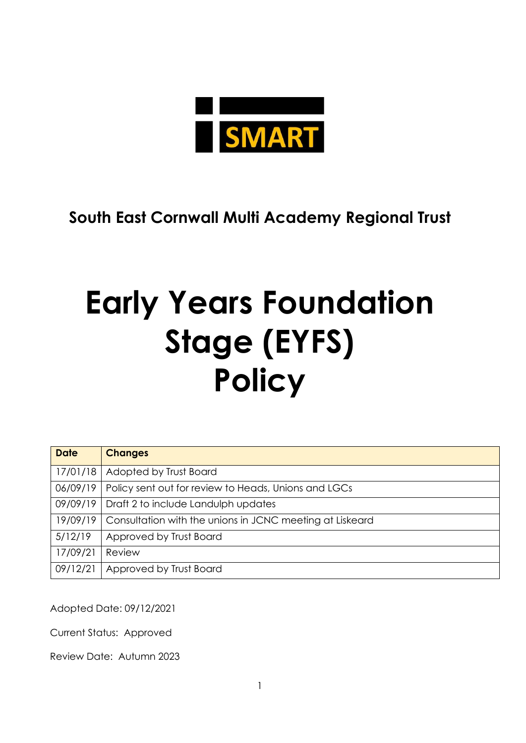

# **South East Cornwall Multi Academy Regional Trust**

# **Early Years Foundation Stage (EYFS) Policy**

| <b>Date</b> | <b>Changes</b>                                           |
|-------------|----------------------------------------------------------|
| 17/01/18    | Adopted by Trust Board                                   |
| 06/09/19    | Policy sent out for review to Heads, Unions and LGCs     |
| 09/09/19    | Draft 2 to include Landulph updates                      |
| 19/09/19    | Consultation with the unions in JCNC meeting at Liskeard |
| 5/12/19     | Approved by Trust Board                                  |
| 17/09/21    | Review                                                   |
| 09/12/21    | Approved by Trust Board                                  |

Adopted Date: 09/12/2021

Current Status: Approved

Review Date: Autumn 2023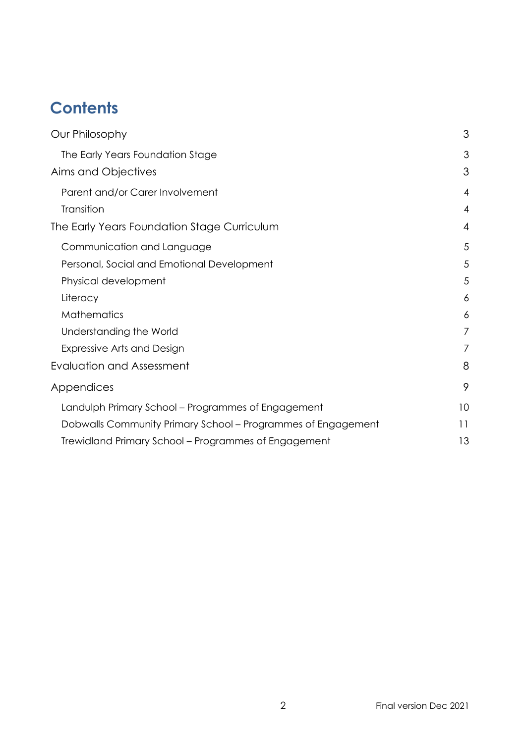# **Contents**

| Our Philosophy                                               |    |
|--------------------------------------------------------------|----|
| The Early Years Foundation Stage                             | 3  |
| Aims and Objectives                                          |    |
| Parent and/or Carer Involvement                              | 4  |
| Transition                                                   | 4  |
| The Early Years Foundation Stage Curriculum                  |    |
| Communication and Language                                   | 5  |
| Personal, Social and Emotional Development                   | 5  |
| Physical development                                         | 5  |
| Literacy                                                     | 6  |
| <b>Mathematics</b>                                           | 6  |
| Understanding the World                                      | 7  |
| Expressive Arts and Design                                   | 7  |
| Evaluation and Assessment                                    | 8  |
| Appendices                                                   |    |
| Landulph Primary School - Programmes of Engagement           | 10 |
| Dobwalls Community Primary School – Programmes of Engagement | 11 |
| Trewidland Primary School - Programmes of Engagement         | 13 |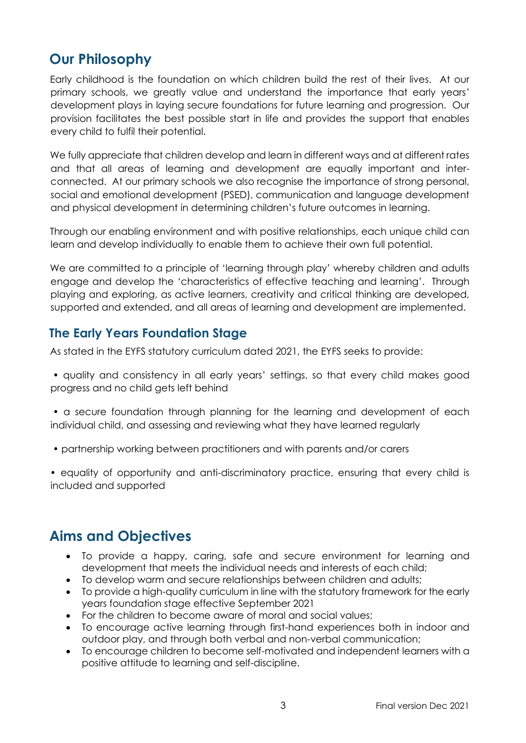# <span id="page-2-0"></span>**Our Philosophy**

Early childhood is the foundation on which children build the rest of their lives. At our primary schools, we greatly value and understand the importance that early years' development plays in laying secure foundations for future learning and progression. Our provision facilitates the best possible start in life and provides the support that enables every child to fulfil their potential.

We fully appreciate that children develop and learn in different ways and at different rates and that all areas of learning and development are equally important and interconnected. At our primary schools we also recognise the importance of strong personal, social and emotional development (PSED), communication and language development and physical development in determining children's future outcomes in learning.

Through our enabling environment and with positive relationships, each unique child can learn and develop individually to enable them to achieve their own full potential.

We are committed to a principle of 'learning through play' whereby children and adults engage and develop the 'characteristics of effective teaching and learning'. Through playing and exploring, as active learners, creativity and critical thinking are developed, supported and extended, and all areas of learning and development are implemented.

## <span id="page-2-1"></span>**The Early Years Foundation Stage**

As stated in the EYFS statutory curriculum dated 2021, the EYFS seeks to provide:

- quality and consistency in all early years' settings, so that every child makes good progress and no child gets left behind
- a secure foundation through planning for the learning and development of each individual child, and assessing and reviewing what they have learned regularly
- partnership working between practitioners and with parents and/or carers
- equality of opportunity and anti-discriminatory practice, ensuring that every child is included and supported

# <span id="page-2-2"></span>**Aims and Objectives**

- To provide a happy, caring, safe and secure environment for learning and development that meets the individual needs and interests of each child;
- To develop warm and secure relationships between children and adults;
- To provide a high-quality curriculum in line with the statutory framework for the early years foundation stage effective September 2021
- For the children to become aware of moral and social values;
- To encourage active learning through first-hand experiences both in indoor and outdoor play, and through both verbal and non-verbal communication;
- To encourage children to become self-motivated and independent learners with a positive attitude to learning and self-discipline.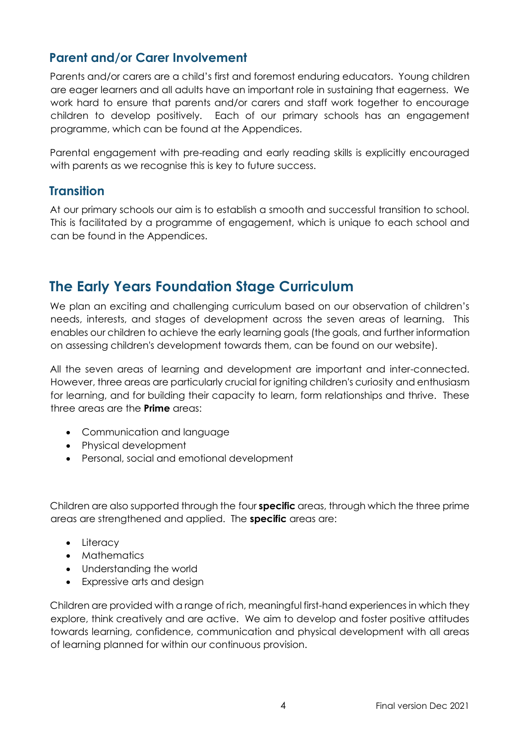## <span id="page-3-0"></span>**Parent and/or Carer Involvement**

Parents and/or carers are a child's first and foremost enduring educators. Young children are eager learners and all adults have an important role in sustaining that eagerness. We work hard to ensure that parents and/or carers and staff work together to encourage children to develop positively. Each of our primary schools has an engagement programme, which can be found at the Appendices.

Parental engagement with pre-reading and early reading skills is explicitly encouraged with parents as we recognise this is key to future success.

#### <span id="page-3-1"></span>**Transition**

At our primary schools our aim is to establish a smooth and successful transition to school. This is facilitated by a programme of engagement, which is unique to each school and can be found in the Appendices.

# <span id="page-3-2"></span>**The Early Years Foundation Stage Curriculum**

We plan an exciting and challenging curriculum based on our observation of children's needs, interests, and stages of development across the seven areas of learning. This enables our children to achieve the early learning goals (the goals, and further information on assessing children's development towards them, can be found on our website).

All the seven areas of learning and development are important and inter-connected. However, three areas are particularly crucial for igniting children's curiosity and enthusiasm for learning, and for building their capacity to learn, form relationships and thrive. These three areas are the **Prime** areas:

- Communication and language
- Physical development
- Personal, social and emotional development

Children are also supported through the four **specific** areas, through which the three prime areas are strengthened and applied. The **specific** areas are:

- Literacy
- Mathematics
- Understanding the world
- Expressive arts and design

Children are provided with a range of rich, meaningful first-hand experiences in which they explore, think creatively and are active. We aim to develop and foster positive attitudes towards learning, confidence, communication and physical development with all areas of learning planned for within our continuous provision.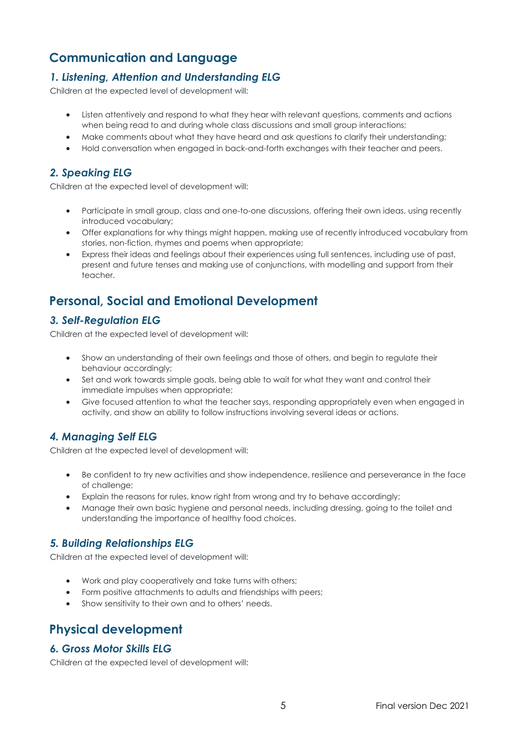# <span id="page-4-0"></span>**Communication and Language**

#### *1. Listening, Attention and Understanding ELG*

Children at the expected level of development will:

- Listen attentively and respond to what they hear with relevant questions, comments and actions when being read to and during whole class discussions and small group interactions;
- Make comments about what they have heard and ask questions to clarify their understanding;
- Hold conversation when engaged in back-and-forth exchanges with their teacher and peers.

#### *2. Speaking ELG*

Children at the expected level of development will:

- Participate in small group, class and one-to-one discussions, offering their own ideas, using recently introduced vocabulary;
- Offer explanations for why things might happen, making use of recently introduced vocabulary from stories, non-fiction, rhymes and poems when appropriate;
- Express their ideas and feelings about their experiences using full sentences, including use of past, present and future tenses and making use of conjunctions, with modelling and support from their teacher.

# <span id="page-4-1"></span>**Personal, Social and Emotional Development**

#### *3. Self-Regulation ELG*

Children at the expected level of development will:

- Show an understanding of their own feelings and those of others, and begin to regulate their behaviour accordingly;
- Set and work towards simple goals, being able to wait for what they want and control their immediate impulses when appropriate;
- Give focused attention to what the teacher says, responding appropriately even when engaged in activity, and show an ability to follow instructions involving several ideas or actions.

#### *4. Managing Self ELG*

Children at the expected level of development will:

- Be confident to try new activities and show independence, resilience and perseverance in the face of challenge;
- Explain the reasons for rules, know right from wrong and try to behave accordingly;
- Manage their own basic hygiene and personal needs, including dressing, going to the toilet and understanding the importance of healthy food choices.

#### *5. Building Relationships ELG*

Children at the expected level of development will:

- Work and play cooperatively and take turns with others;
- Form positive attachments to adults and friendships with peers;
- Show sensitivity to their own and to others' needs.

#### <span id="page-4-2"></span>**Physical development**

#### *6. Gross Motor Skills ELG*

Children at the expected level of development will: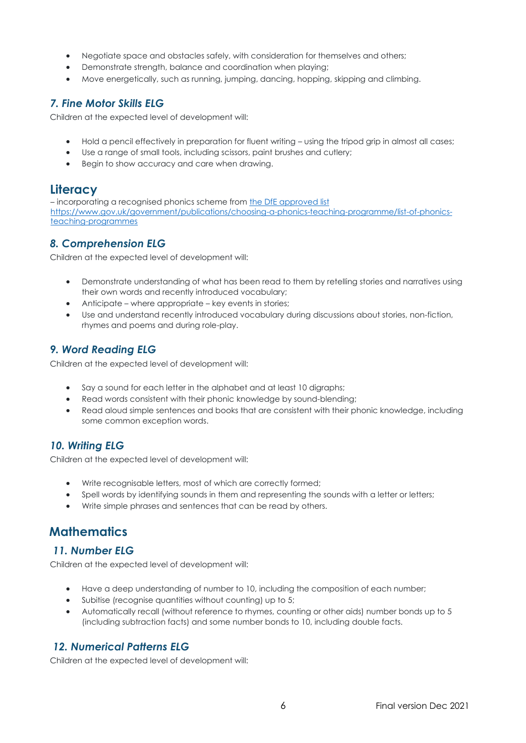- Negotiate space and obstacles safely, with consideration for themselves and others;
- Demonstrate strength, balance and coordination when playing;
- Move energetically, such as running, jumping, dancing, hopping, skipping and climbing.

#### *7. Fine Motor Skills ELG*

Children at the expected level of development will:

- Hold a pencil effectively in preparation for fluent writing using the tripod grip in almost all cases;
- Use a range of small tools, including scissors, paint brushes and cutlery;
- Begin to show accuracy and care when drawing.

#### <span id="page-5-0"></span>**Literacy**

– incorporating a recognised phonics scheme from [the DfE approved list](https://www.gov.uk/government/publications/choosing-a-phonics-teaching-programme/list-of-phonics-teaching-programmes) [https://www.gov.uk/government/publications/choosing-a-phonics-teaching-programme/list-of-phonics](https://www.gov.uk/government/publications/choosing-a-phonics-teaching-programme/list-of-phonics-teaching-programmes)[teaching-programmes](https://www.gov.uk/government/publications/choosing-a-phonics-teaching-programme/list-of-phonics-teaching-programmes)

#### *8. Comprehension ELG*

Children at the expected level of development will:

- Demonstrate understanding of what has been read to them by retelling stories and narratives using their own words and recently introduced vocabulary;
- Anticipate where appropriate key events in stories;
- Use and understand recently introduced vocabulary during discussions about stories, non-fiction, rhymes and poems and during role-play.

#### *9. Word Reading ELG*

Children at the expected level of development will:

- Say a sound for each letter in the alphabet and at least 10 digraphs;
- Read words consistent with their phonic knowledge by sound-blending;
- Read aloud simple sentences and books that are consistent with their phonic knowledge, including some common exception words.

#### *10. Writing ELG*

Children at the expected level of development will:

- Write recognisable letters, most of which are correctly formed;
- Spell words by identifying sounds in them and representing the sounds with a letter or letters;
- Write simple phrases and sentences that can be read by others.

# <span id="page-5-1"></span>**Mathematics**

#### *11. Number ELG*

Children at the expected level of development will:

- Have a deep understanding of number to 10, including the composition of each number;
- Subitise (recognise quantities without counting) up to 5;
- Automatically recall (without reference to rhymes, counting or other aids) number bonds up to 5 (including subtraction facts) and some number bonds to 10, including double facts.

#### *12. Numerical Patterns ELG*

Children at the expected level of development will: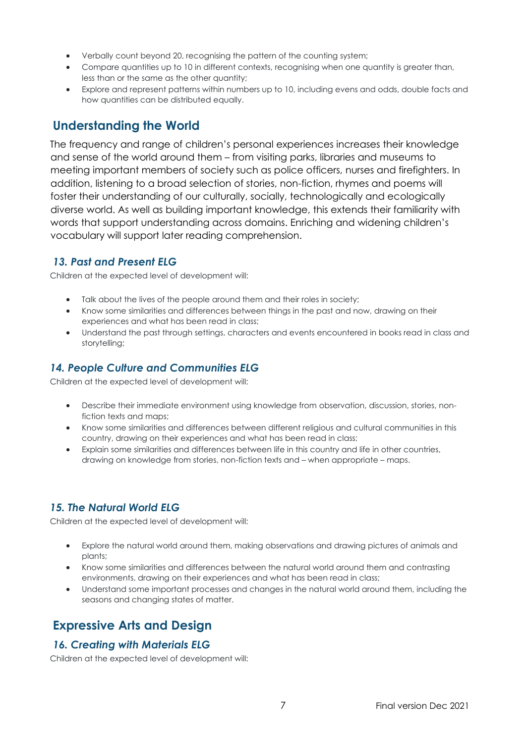- Verbally count beyond 20, recognising the pattern of the counting system;
- Compare quantities up to 10 in different contexts, recognising when one quantity is greater than, less than or the same as the other quantity;
- Explore and represent patterns within numbers up to 10, including evens and odds, double facts and how quantities can be distributed equally.

## <span id="page-6-0"></span>**Understanding the World**

The frequency and range of children's personal experiences increases their knowledge and sense of the world around them – from visiting parks, libraries and museums to meeting important members of society such as police officers, nurses and firefighters. In addition, listening to a broad selection of stories, non-fiction, rhymes and poems will foster their understanding of our culturally, socially, technologically and ecologically diverse world. As well as building important knowledge, this extends their familiarity with words that support understanding across domains. Enriching and widening children's vocabulary will support later reading comprehension.

#### *13. Past and Present ELG*

Children at the expected level of development will:

- Talk about the lives of the people around them and their roles in society;
- Know some similarities and differences between things in the past and now, drawing on their experiences and what has been read in class;
- Understand the past through settings, characters and events encountered in books read in class and storytelling;

#### *14. People Culture and Communities ELG*

Children at the expected level of development will:

- Describe their immediate environment using knowledge from observation, discussion, stories, nonfiction texts and maps;
- Know some similarities and differences between different religious and cultural communities in this country, drawing on their experiences and what has been read in class;
- Explain some similarities and differences between life in this country and life in other countries, drawing on knowledge from stories, non-fiction texts and – when appropriate – maps.

#### *15. The Natural World ELG*

Children at the expected level of development will:

- Explore the natural world around them, making observations and drawing pictures of animals and plants;
- Know some similarities and differences between the natural world around them and contrasting environments, drawing on their experiences and what has been read in class;
- Understand some important processes and changes in the natural world around them, including the seasons and changing states of matter.

## <span id="page-6-1"></span>**Expressive Arts and Design**

#### *16. Creating with Materials ELG*

Children at the expected level of development will: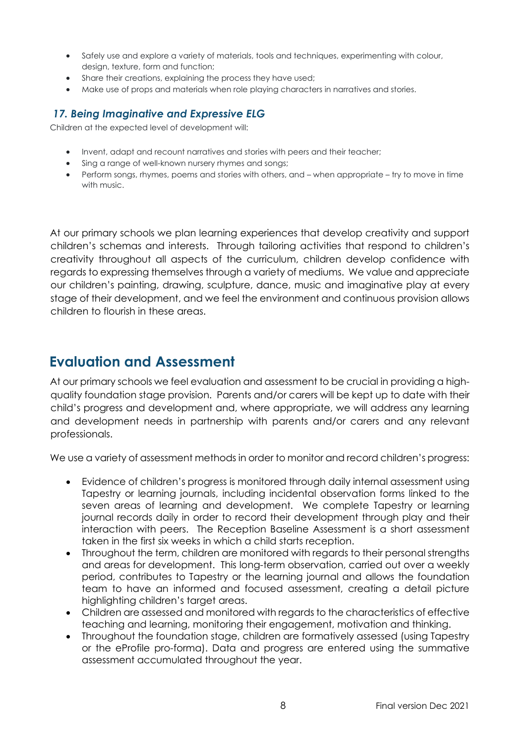- Safely use and explore a variety of materials, tools and techniques, experimenting with colour, design, texture, form and function;
- Share their creations, explaining the process they have used;
- Make use of props and materials when role playing characters in narratives and stories.

#### *17. Being Imaginative and Expressive ELG*

Children at the expected level of development will:

- Invent, adapt and recount narratives and stories with peers and their teacher;
- Sing a range of well-known nursery rhymes and songs;
- Perform songs, rhymes, poems and stories with others, and when appropriate try to move in time with music.

At our primary schools we plan learning experiences that develop creativity and support children's schemas and interests. Through tailoring activities that respond to children's creativity throughout all aspects of the curriculum, children develop confidence with regards to expressing themselves through a variety of mediums. We value and appreciate our children's painting, drawing, sculpture, dance, music and imaginative play at every stage of their development, and we feel the environment and continuous provision allows children to flourish in these areas.

# <span id="page-7-0"></span>**Evaluation and Assessment**

At our primary schools we feel evaluation and assessment to be crucial in providing a highquality foundation stage provision. Parents and/or carers will be kept up to date with their child's progress and development and, where appropriate, we will address any learning and development needs in partnership with parents and/or carers and any relevant professionals.

We use a variety of assessment methods in order to monitor and record children's progress:

- Evidence of children's progress is monitored through daily internal assessment using Tapestry or learning journals, including incidental observation forms linked to the seven areas of learning and development. We complete Tapestry or learning journal records daily in order to record their development through play and their interaction with peers. The Reception Baseline Assessment is a short assessment taken in the first six weeks in which a child starts reception.
- Throughout the term, children are monitored with regards to their personal strengths and areas for development. This long-term observation, carried out over a weekly period, contributes to Tapestry or the learning journal and allows the foundation team to have an informed and focused assessment, creating a detail picture highlighting children's target areas.
- Children are assessed and monitored with regards to the characteristics of effective teaching and learning, monitoring their engagement, motivation and thinking.
- Throughout the foundation stage, children are formatively assessed (using Tapestry or the eProfile pro-forma). Data and progress are entered using the summative assessment accumulated throughout the year.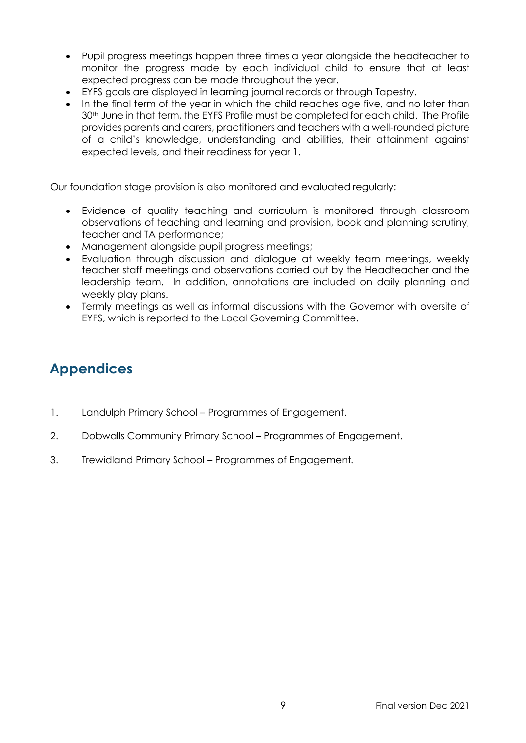- Pupil progress meetings happen three times a year alongside the headteacher to monitor the progress made by each individual child to ensure that at least expected progress can be made throughout the year.
- EYFS goals are displayed in learning journal records or through Tapestry.
- In the final term of the year in which the child reaches age five, and no later than 30<sup>th</sup> June in that term, the EYFS Profile must be completed for each child. The Profile provides parents and carers, practitioners and teachers with a well-rounded picture of a child's knowledge, understanding and abilities, their attainment against expected levels, and their readiness for year 1.

Our foundation stage provision is also monitored and evaluated regularly:

- Evidence of quality teaching and curriculum is monitored through classroom observations of teaching and learning and provision, book and planning scrutiny, teacher and TA performance;
- Management alongside pupil progress meetings;
- Evaluation through discussion and dialogue at weekly team meetings, weekly teacher staff meetings and observations carried out by the Headteacher and the leadership team. In addition, annotations are included on daily planning and weekly play plans.
- Termly meetings as well as informal discussions with the Governor with oversite of EYFS, which is reported to the Local Governing Committee.

# <span id="page-8-0"></span>**Appendices**

- 1. Landulph Primary School Programmes of Engagement.
- 2. Dobwalls Community Primary School Programmes of Engagement.
- 3. Trewidland Primary School Programmes of Engagement.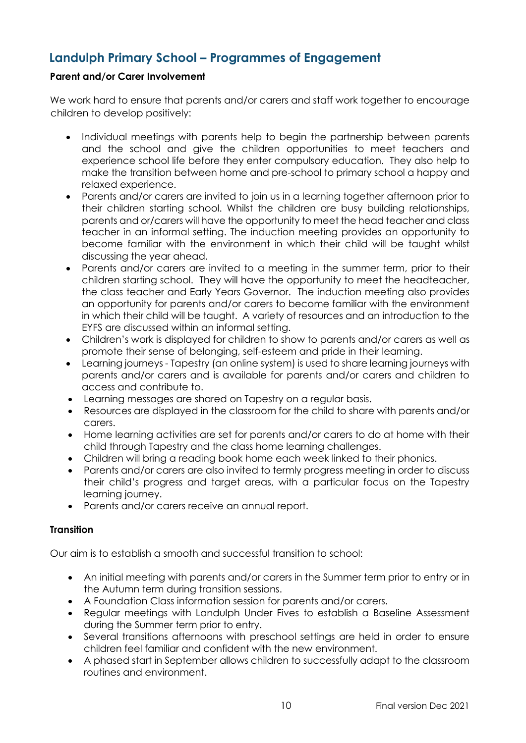# <span id="page-9-0"></span>**Landulph Primary School – Programmes of Engagement**

#### **Parent and/or Carer Involvement**

We work hard to ensure that parents and/or carers and staff work together to encourage children to develop positively:

- Individual meetings with parents help to begin the partnership between parents and the school and give the children opportunities to meet teachers and experience school life before they enter compulsory education. They also help to make the transition between home and pre-school to primary school a happy and relaxed experience.
- Parents and/or carers are invited to join us in a learning together afternoon prior to their children starting school. Whilst the children are busy building relationships, parents and or/carers will have the opportunity to meet the head teacher and class teacher in an informal setting. The induction meeting provides an opportunity to become familiar with the environment in which their child will be taught whilst discussing the year ahead.
- Parents and/or carers are invited to a meeting in the summer term, prior to their children starting school. They will have the opportunity to meet the headteacher, the class teacher and Early Years Governor. The induction meeting also provides an opportunity for parents and/or carers to become familiar with the environment in which their child will be taught. A variety of resources and an introduction to the EYFS are discussed within an informal setting.
- Children's work is displayed for children to show to parents and/or carers as well as promote their sense of belonging, self-esteem and pride in their learning.
- Learning journeys Tapestry (an online system) is used to share learning journeys with parents and/or carers and is available for parents and/or carers and children to access and contribute to.
- Learning messages are shared on Tapestry on a regular basis.
- Resources are displayed in the classroom for the child to share with parents and/or carers.
- Home learning activities are set for parents and/or carers to do at home with their child through Tapestry and the class home learning challenges.
- Children will bring a reading book home each week linked to their phonics.
- Parents and/or carers are also invited to termly progress meeting in order to discuss their child's progress and target areas, with a particular focus on the Tapestry learning journey.
- Parents and/or carers receive an annual report.

#### **Transition**

Our aim is to establish a smooth and successful transition to school:

- An initial meeting with parents and/or carers in the Summer term prior to entry or in the Autumn term during transition sessions.
- A Foundation Class information session for parents and/or carers.
- Regular meetings with Landulph Under Fives to establish a Baseline Assessment during the Summer term prior to entry.
- Several transitions afternoons with preschool settings are held in order to ensure children feel familiar and confident with the new environment.
- A phased start in September allows children to successfully adapt to the classroom routines and environment.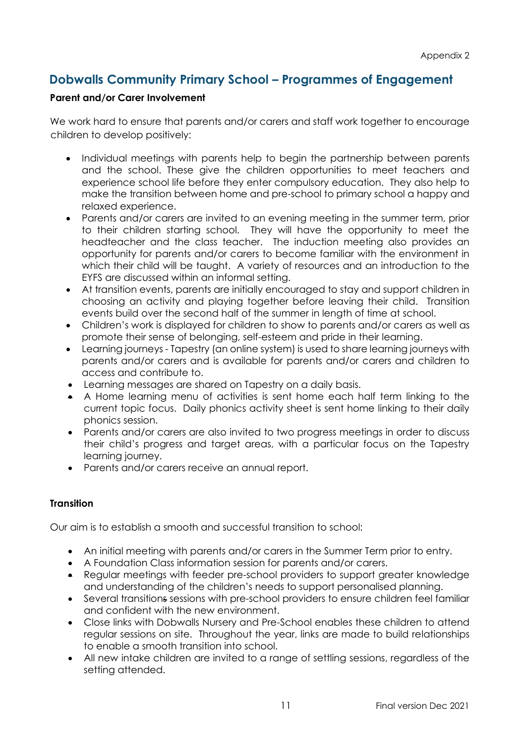# <span id="page-10-0"></span>**Dobwalls Community Primary School – Programmes of Engagement**

#### **Parent and/or Carer Involvement**

We work hard to ensure that parents and/or carers and staff work together to encourage children to develop positively:

- Individual meetings with parents help to begin the partnership between parents and the school. These give the children opportunities to meet teachers and experience school life before they enter compulsory education. They also help to make the transition between home and pre-school to primary school a happy and relaxed experience.
- Parents and/or carers are invited to an evening meeting in the summer term, prior to their children starting school. They will have the opportunity to meet the headteacher and the class teacher. The induction meeting also provides an opportunity for parents and/or carers to become familiar with the environment in which their child will be taught. A variety of resources and an introduction to the EYFS are discussed within an informal setting.
- At transition events, parents are initially encouraged to stay and support children in choosing an activity and playing together before leaving their child. Transition events build over the second half of the summer in length of time at school.
- Children's work is displayed for children to show to parents and/or carers as well as promote their sense of belonging, self-esteem and pride in their learning.
- Learning journeys Tapestry (an online system) is used to share learning journeys with parents and/or carers and is available for parents and/or carers and children to access and contribute to.
- Learning messages are shared on Tapestry on a daily basis.
- A Home learning menu of activities is sent home each half term linking to the current topic focus. Daily phonics activity sheet is sent home linking to their daily phonics session.
- Parents and/or carers are also invited to two progress meetings in order to discuss their child's progress and target areas, with a particular focus on the Tapestry learning journey.
- Parents and/or carers receive an annual report.

#### **Transition**

Our aim is to establish a smooth and successful transition to school:

- An initial meeting with parents and/or carers in the Summer Term prior to entry.
- A Foundation Class information session for parents and/or carers.
- Regular meetings with feeder pre-school providers to support greater knowledge and understanding of the children's needs to support personalised planning.
- Several transitions sessions with pre-school providers to ensure children feel familiar and confident with the new environment.
- Close links with Dobwalls Nursery and Pre-School enables these children to attend regular sessions on site. Throughout the year, links are made to build relationships to enable a smooth transition into school.
- All new intake children are invited to a range of settling sessions, regardless of the setting attended.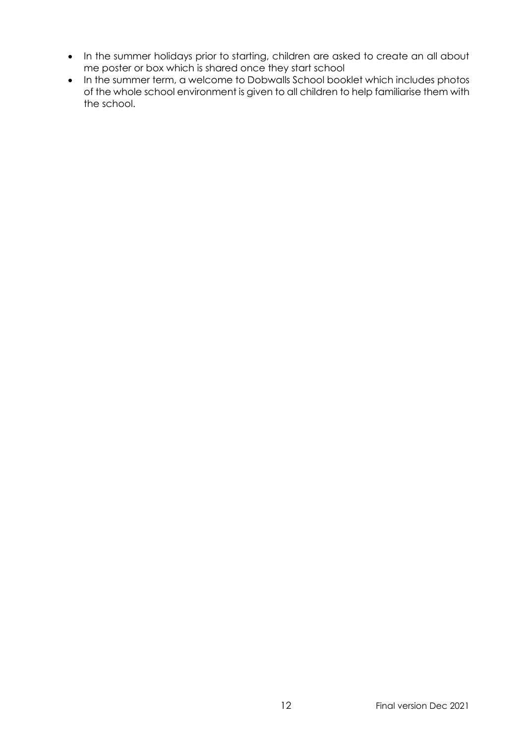- In the summer holidays prior to starting, children are asked to create an all about me poster or box which is shared once they start school
- In the summer term, a welcome to Dobwalls School booklet which includes photos of the whole school environment is given to all children to help familiarise them with the school.